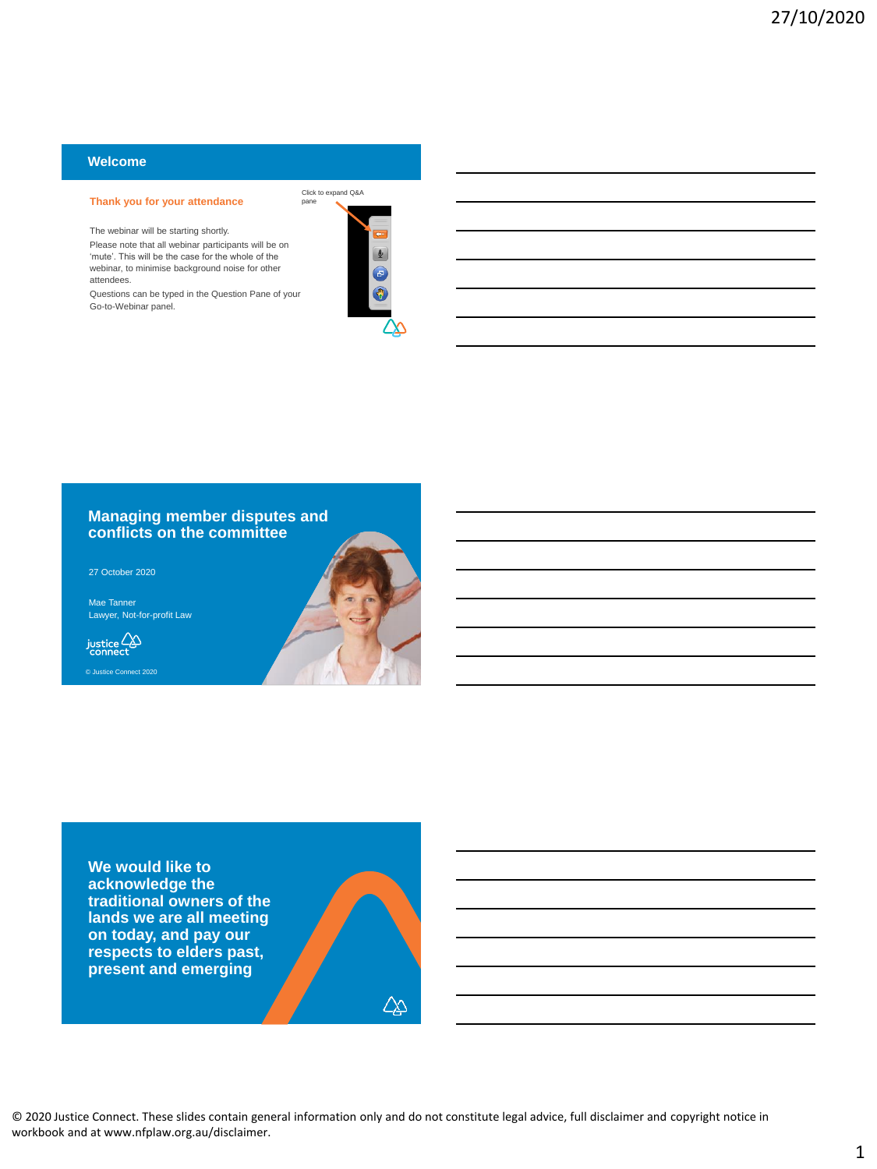## **Welcome**

#### **Thank you for your attendance**

The webinar will be starting shortly. Please note that all webinar participants will be on

'mute'. This will be the case for the whole of the webinar, to minimise background noise for other attendees.

Questions can be typed in the Question Pane of your Go-to-Webinar panel.



## **Managing member disputes and conflicts on the committee**

27 October 2020

Mae Tanner Lawyer, Not-for-profit Law





**We would like to acknowledge the traditional owners of the lands we are all meeting on today, and pay our respects to elders past, present and emerging**

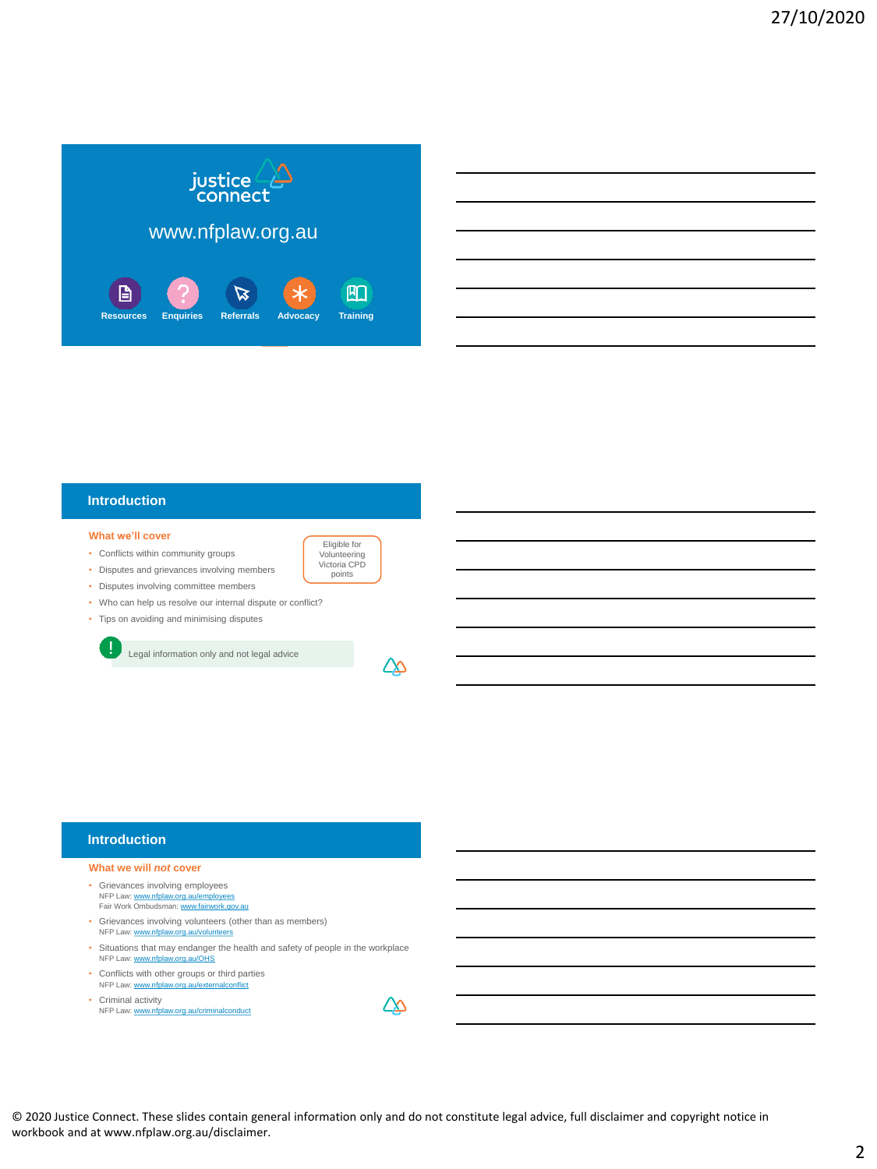

|                                                                                                                                                                                                                               |  | <u> 1989 - Jan Salaman Salaman (j. 1989)</u>                   |
|-------------------------------------------------------------------------------------------------------------------------------------------------------------------------------------------------------------------------------|--|----------------------------------------------------------------|
|                                                                                                                                                                                                                               |  |                                                                |
|                                                                                                                                                                                                                               |  | <u> 1989 - Andrea Barbara, Amerikaansk politiker (d. 1989)</u> |
| the control of the control of the control of the control of the control of the control of the control of the control of the control of the control of the control of the control of the control of the control of the control |  |                                                                |
|                                                                                                                                                                                                                               |  | <u> 1989 - Johann Stoff, amerikansk politiker (d. 1989)</u>    |
|                                                                                                                                                                                                                               |  |                                                                |

## **Introduction**

#### **What we'll cover**

- Conflicts within community groups
- Disputes and grievances involving members
- Disputes involving committee members
- Who can help us resolve our internal dispute or conflict?
- Tips on avoiding and minimising disputes

Legal information only and not legal advice



Eligible for Volunteering Victoria CPD points

## **Introduction**

#### **What we will** *not* **cover**

- Grievances involving employees NFP Law: [www.nfplaw.org.au/employees](http://www.nfplaw.org.au/employees)<br>Fair Work Ombudsman: [www.fairwork.gov.au](http://www.fairwork.gov.au/)
- Grievances involving volunteers (other than as members) NFP Law: [www.nfplaw.org.au/volunteers](http://www.nfplaw.org.au/volunteers)
- Situations that may endanger the health and safety of people in the workplace NFP Law: [www.nfplaw.org.au/OHS](http://www.nfplaw.org.au/OHS)
- Conflicts with other groups or third parties NFP Law: [www.nfplaw.org.au/externalconflict](http://www.nfplaw.org.au/externalconflict)
- Criminal activity NFP Law: [www.nfplaw.org.au/criminalconduct](http://www.nfplaw.org.au/criminalconduct)

© 2020 Justice Connect. These slides contain general information only and do not constitute legal advice, full disclaimer and copyright notice in workbook and at www.nfplaw.org.au/disclaimer.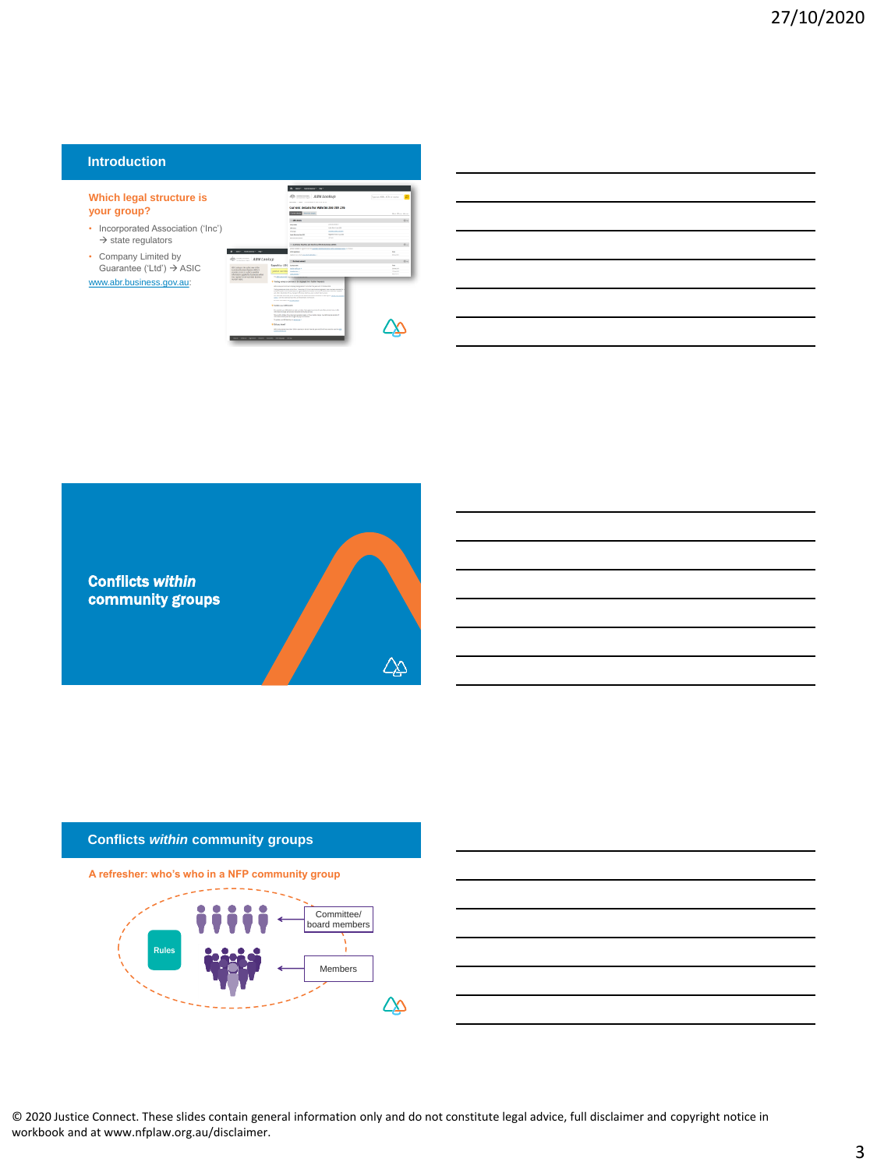## **Introduction**

#### **Which legal structure is your group?**

- Incorporated Association ('Inc  $\Rightarrow$  state regulators
- Company Limited by Guarantee ('Ltd') ASIC

[www.abr.business.gov.au:](http://www.abr.business.gov.au/)

|                                                                                                                                  |                                                 | ABN Lookup                                                                                                                                                         |                                                                           | Þ<br>Tupe an ABM, NO4 or name. |
|----------------------------------------------------------------------------------------------------------------------------------|-------------------------------------------------|--------------------------------------------------------------------------------------------------------------------------------------------------------------------|---------------------------------------------------------------------------|--------------------------------|
|                                                                                                                                  |                                                 | Minister Corp. Contribution from the fill of                                                                                                                       |                                                                           |                                |
|                                                                                                                                  |                                                 |                                                                                                                                                                    | Current details for ABN 54 206 709 276                                    |                                |
|                                                                                                                                  |                                                 | <b>Rental Asia</b>                                                                                                                                                 |                                                                           | fered A.mee Morris             |
|                                                                                                                                  |                                                 | <b>CONTRACTOR</b>                                                                                                                                                  |                                                                           | $\sim$                         |
|                                                                                                                                  |                                                 | <b>Sold color</b>                                                                                                                                                  | <b>CONTRACTOR</b>                                                         |                                |
|                                                                                                                                  |                                                 | <b>House</b>                                                                                                                                                       | Alaska kao 20                                                             |                                |
|                                                                                                                                  |                                                 | tenant.<br><b><i>Detail &amp; Brown De 1974</i></b>                                                                                                                | AGMA SIX DOM:<br><b>Report Follows</b>                                    |                                |
|                                                                                                                                  |                                                 | <b>Not better that the</b>                                                                                                                                         | $\sim$                                                                    |                                |
|                                                                                                                                  |                                                 | <b>In colored the third and boots with historical artist</b>                                                                                                       |                                                                           |                                |
|                                                                                                                                  |                                                 |                                                                                                                                                                    |                                                                           |                                |
| <b>National Man</b>                                                                                                              |                                                 | <b>CENTRAL</b><br>sports the auto call of                                                                                                                          |                                                                           | $\sim$<br><b>A factory</b>     |
| ABN Lookup                                                                                                                       |                                                 |                                                                                                                                                                    |                                                                           |                                |
|                                                                                                                                  |                                                 | 11 Martin Art Mark                                                                                                                                                 |                                                                           | <b>Street</b>                  |
| ADI pulsar in the public concretion                                                                                              | Sparsh by ARN Automotive                        |                                                                                                                                                                    |                                                                           | $\sim$                         |
| Automa-Business Propriet (400) 31<br>provide screening public available                                                          | LATOR CATANT                                    | <b>STARTING</b><br><b>STATISTICS</b>                                                                                                                               |                                                                           | a more<br>Emiles               |
| Information capacity furniture after                                                                                             |                                                 | <b>With Family</b>                                                                                                                                                 |                                                                           | August 1979                    |
| they have the at Automas Automatic<br><b>SALES ARE</b>                                                                           | TA discussion in                                | <b>STATISTICS</b>                                                                                                                                                  |                                                                           |                                |
|                                                                                                                                  |                                                 | P Today since to certified it be injusted by the factor because                                                                                                    |                                                                           |                                |
|                                                                                                                                  |                                                 | <b>Productional day benefit the fundamental and and a</b>                                                                                                          |                                                                           |                                |
|                                                                                                                                  |                                                 | fully heavy a minimized major detector and committees to the series suppor-<br>and after electronic of you che agains the most than you in contact that the excess | Total and an interface Teacher Third and an expense is by to be completed |                                |
|                                                                                                                                  |                                                 | The actual member and all about the attracted for instance in the horn ages<br>and call distance works enforced between                                            |                                                                           |                                |
|                                                                                                                                  | by the effective winds when                     |                                                                                                                                                                    |                                                                           |                                |
|                                                                                                                                  | <b>E GAN AVERENN</b>                            |                                                                                                                                                                    |                                                                           |                                |
|                                                                                                                                  |                                                 | The parties are 100 model as that a restore than above at the affects if was there were the                                                                        |                                                                           |                                |
| Peripos Engl structure to the series of your<br>War who didge from bullet light the control Auto Abb Ang. for MF top is another? |                                                 |                                                                                                                                                                    |                                                                           |                                |
|                                                                                                                                  | To produce your differences on the statement of | showed forces to a trip in one change                                                                                                                              |                                                                           |                                |
|                                                                                                                                  | <b><i>Billian Street</i></b>                    |                                                                                                                                                                    |                                                                           |                                |
|                                                                                                                                  | <b>STATISTICS</b><br><b>STATISTICS</b>          | the "We applied think hand as with this and to company                                                                                                             |                                                                           |                                |
|                                                                                                                                  |                                                 |                                                                                                                                                                    |                                                                           |                                |

| <b>Conflicts within</b><br>community groups |  |
|---------------------------------------------|--|
|                                             |  |

## **Conflicts** *within* **community groups**

**A refresher: who's who in a NFP community group**



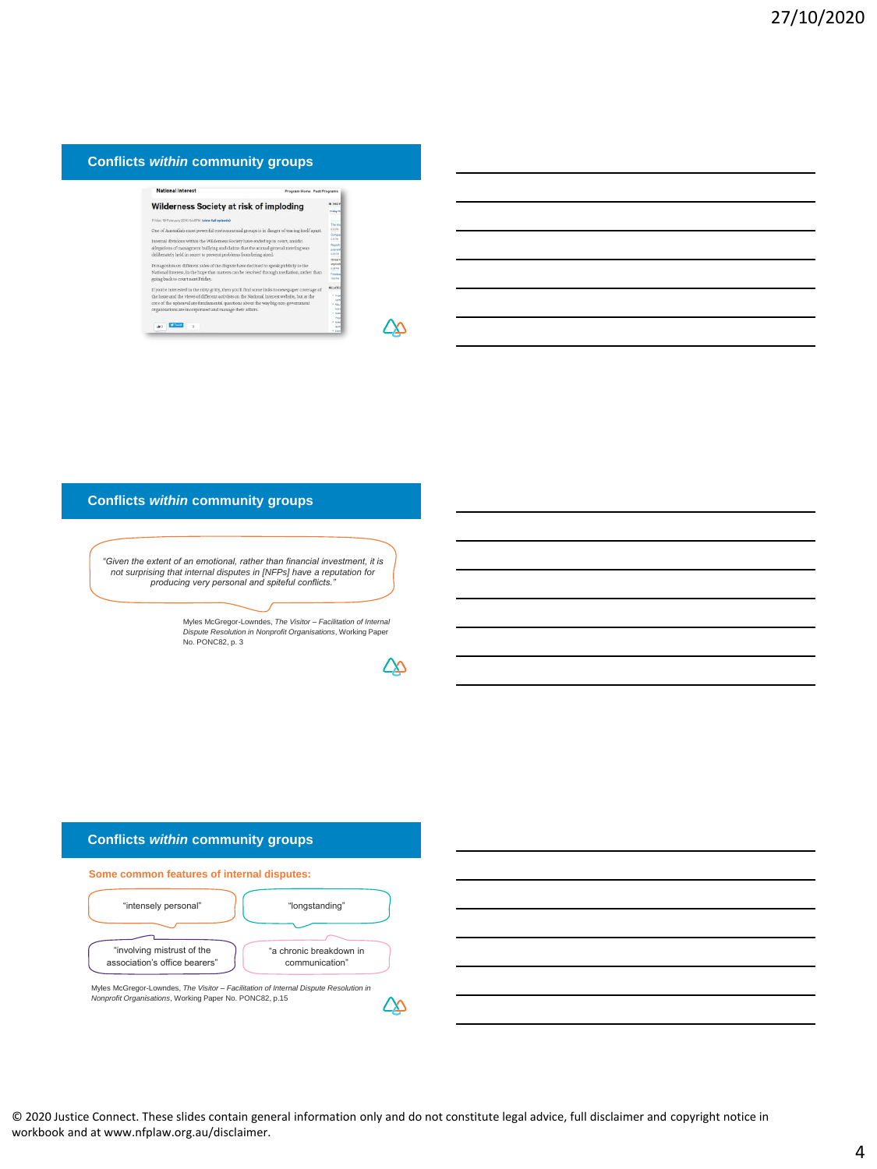## **Conflicts** *within* **community groups**

| <b>National Interest</b>                                                                                                                                                                                                                                                                                                                     | Program Home Past Programs                                                          |
|----------------------------------------------------------------------------------------------------------------------------------------------------------------------------------------------------------------------------------------------------------------------------------------------------------------------------------------------|-------------------------------------------------------------------------------------|
| Wilderness Society at risk of imploding                                                                                                                                                                                                                                                                                                      | <b>KTHS</b><br>Printing 10                                                          |
| Friday 19 February 2010 BASPM Criew full episode)                                                                                                                                                                                                                                                                                            | The ris                                                                             |
| One of Australia's most powerful environmental groups is in danger of tearing itself apart.                                                                                                                                                                                                                                                  | sine.<br><b>Compa</b>                                                               |
| Internal divisions within the Wilderness Society have ended up in court, amidst<br>allegations of managment bullying and claims that the annual general meeting was<br>deliberately held in secret to prevent problems from being aired.                                                                                                     | <b>LIGHT</b><br><b>Parket</b><br>119161<br>sin is.<br>mission                       |
| Protagonists on different sides of the dispute have declined to speak publicly to the<br>National Interest, in the hope that matters can be resolved through mediation, rather than<br>going back to court next Friday.                                                                                                                      | rekd<br><b>Build Plug</b><br>Earnest<br>TOE PU.                                     |
| If you're interested in the nitty gritty, then you'll find some links to newspaper coverage of<br>the issue and the views of different activists on the National Interest website, but at the<br>core of the upheaval are fundamental questions about the way big non-government<br>organisations are incorporated and manage their affairs. | <b>BELATE</b><br><b>Kitchen</b><br><b>North</b><br>Canal.<br>w<br><b>CAN</b><br>Yes |
| W Taxat<br>'n<br>$\triangle$ <sub>0</sub>                                                                                                                                                                                                                                                                                                    | <b>CAN</b><br><b>Sales</b><br>* End                                                 |

## ∠∆

## **Conflicts** *within* **community groups**

*"Given the extent of an emotional, rather than financial investment, it is not surprising that internal disputes in [NFPs] have a reputation for producing very personal and spiteful conflicts."*

Myles McGregor-Lowndes, *The Visitor – Facilitation of Internal Dispute Resolution in Nonprofit Organisations*, Working Paper No. PONC82, p. 3

∠∆

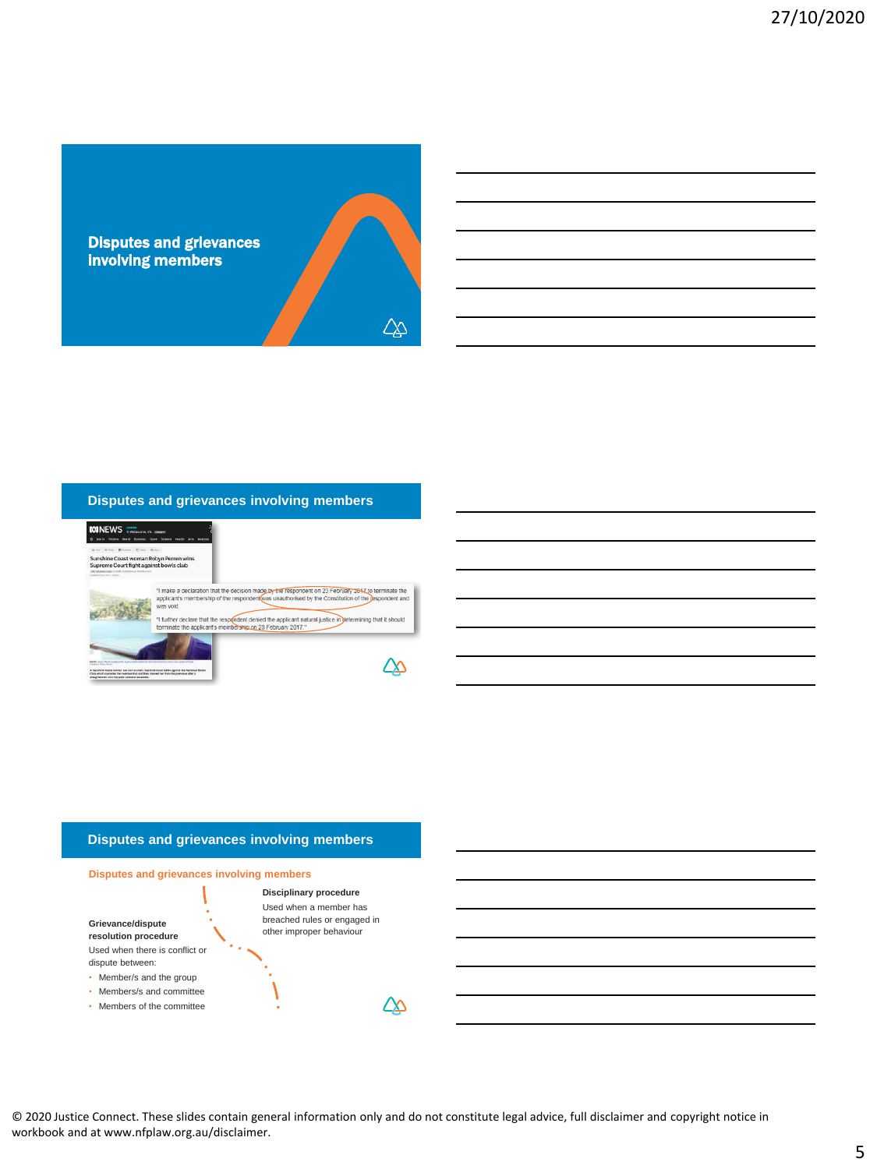

## **Disputes and grievances involving members**



## **Disputes and grievances involving members**



**Grievance/dispute resolution procedure** Used when there is conflict or dispute between:

- Member/s and the group
- Members/s and committee
- Members of the committee

Used when a member has breached rules or engaged in other improper behaviour

Ι

© 2020 Justice Connect. These slides contain general information only and do not constitute legal advice, full disclaimer and copyright notice in workbook and at www.nfplaw.org.au/disclaimer.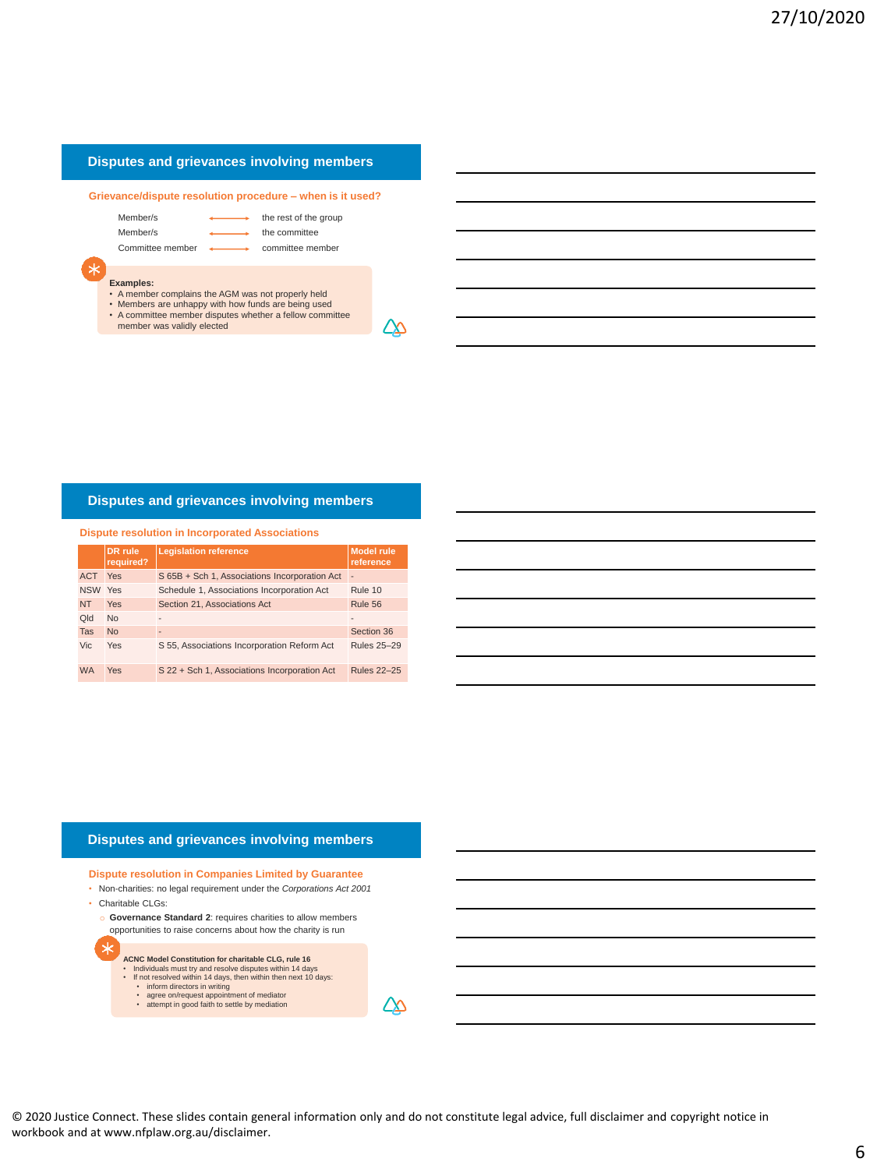## **Disputes and grievances involving members**

**Grievance/dispute resolution procedure – when is it used?**

Member/s the rest of the group

Member/s the committee

Committee member < committee member

# **Examples:**

- A member complains the AGM was not properly held
- Members are unhappy with how funds are being used A committee member disputes whether a fellow committee
- member was validly elected

**Disputes and grievances involving members**

| <b>Dispute resolution in Incorporated Associations</b> |                             |                                               |                                |  |
|--------------------------------------------------------|-----------------------------|-----------------------------------------------|--------------------------------|--|
|                                                        | <b>DR</b> rule<br>required? | <b>Legislation reference</b>                  | <b>Model rule</b><br>reference |  |
| <b>ACT</b>                                             | Yes                         | S 65B + Sch 1, Associations Incorporation Act | ٠                              |  |
| NSW Yes                                                |                             | Schedule 1, Associations Incorporation Act    | Rule 10                        |  |
| <b>NT</b>                                              | Yes                         | Section 21, Associations Act                  | Rule 56                        |  |
| <b>DIC</b>                                             | <b>No</b>                   | ٠                                             | $\blacksquare$                 |  |
| <b>Tas</b>                                             | <b>No</b>                   | $\overline{a}$                                | Section 36                     |  |
| Vic.                                                   | Yes                         | S 55, Associations Incorporation Reform Act   | <b>Rules 25-29</b>             |  |
| <b>WA</b>                                              | <b>Yes</b>                  | S 22 + Sch 1, Associations Incorporation Act  | <b>Rules 22-25</b>             |  |

## **Disputes and grievances involving members**

**Dispute resolution in Companies Limited by Guarantee**

- Non-charities: no legal requirement under the *Corporations Act 2001* • Charitable CLGs:
	- o **Governance Standard 2**: requires charities to allow members opportunities to raise concerns about how the charity is run
		- **ACNC Model Constitution for charitable CLG, rule 16** • Individuals must try and resolve disputes within 14 days • If not resolved within 14 days, then within then next 10 days: • inform directors in writing
			-
			- agree on/request appointment of mediator attempt in good faith to settle by mediation

∠∆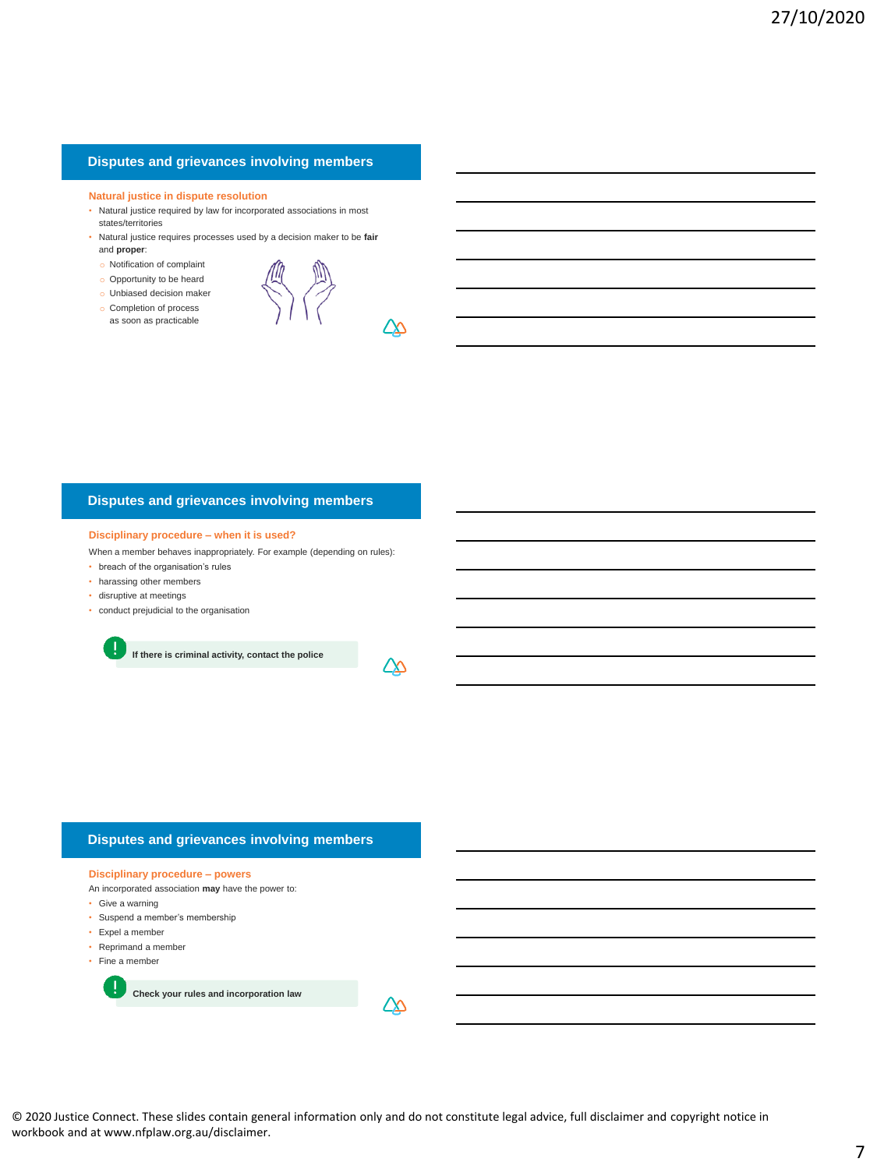## **Disputes and grievances involving members**

#### **Natural justice in dispute resolution**

- Natural justice required by law for incorporated associations in most states/territories
- Natural justice requires processes used by a decision maker to be **fair** and **proper**:
- o Notification of complaint
- o Opportunity to be heard
- o Unbiased decision maker
- o Completion of process as soon as practicable



∠∆

## **Disputes and grievances involving members**

#### **Disciplinary procedure – when it is used?**

When a member behaves inappropriately. For example (depending on rules):

- breach of the organisation's rules
- harassing other members
- disruptive at meetings
- conduct prejudicial to the organisation

**If there is criminal activity, contact the police**



## **Disputes and grievances involving members**

#### **Disciplinary procedure – powers**

An incorporated association **may** have the power to:

- Give a warning
- Suspend a member's membership
- Expel a member
- Reprimand a member
- Fine a member

**Check your rules and incorporation law**

© 2020 Justice Connect. These slides contain general information only and do not constitute legal advice, full disclaimer and copyright notice in workbook and at www.nfplaw.org.au/disclaimer.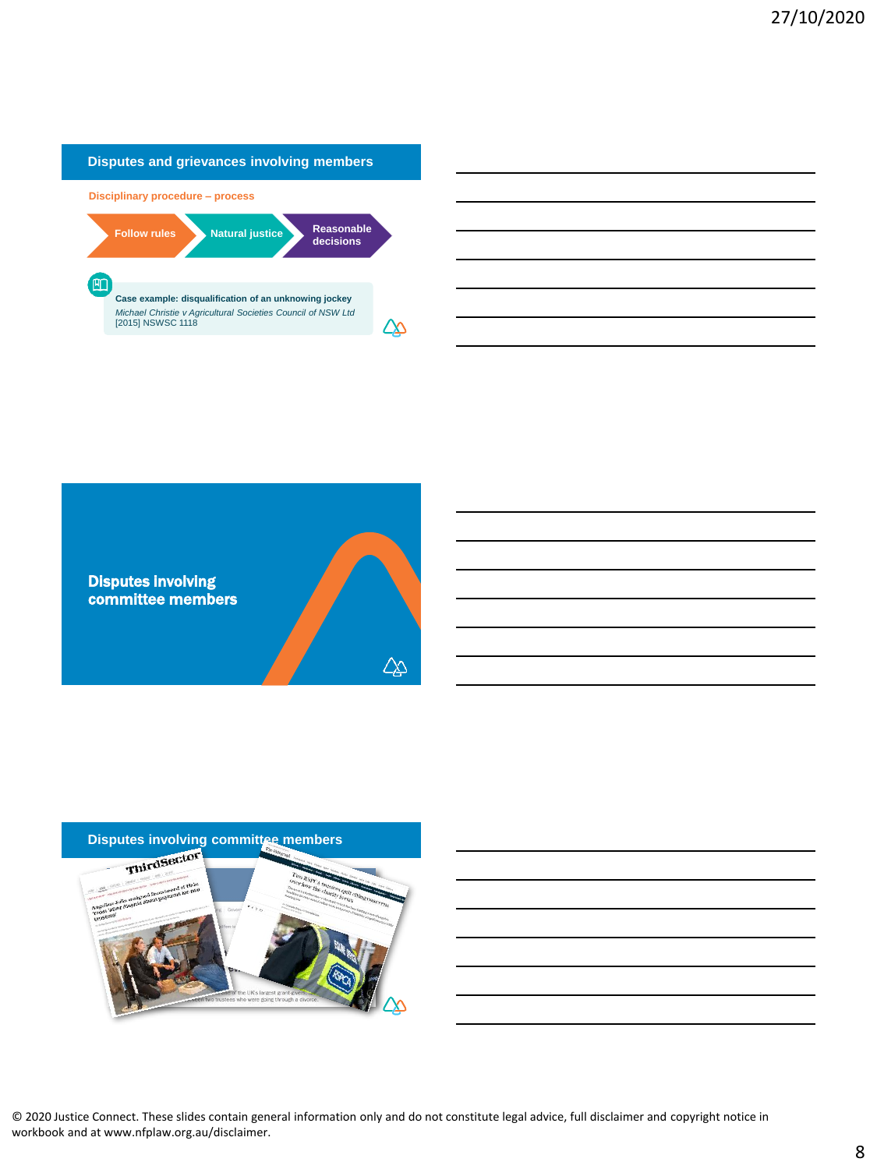

# Disputes involving committee members  $\overline{\mathbb{Q}}$

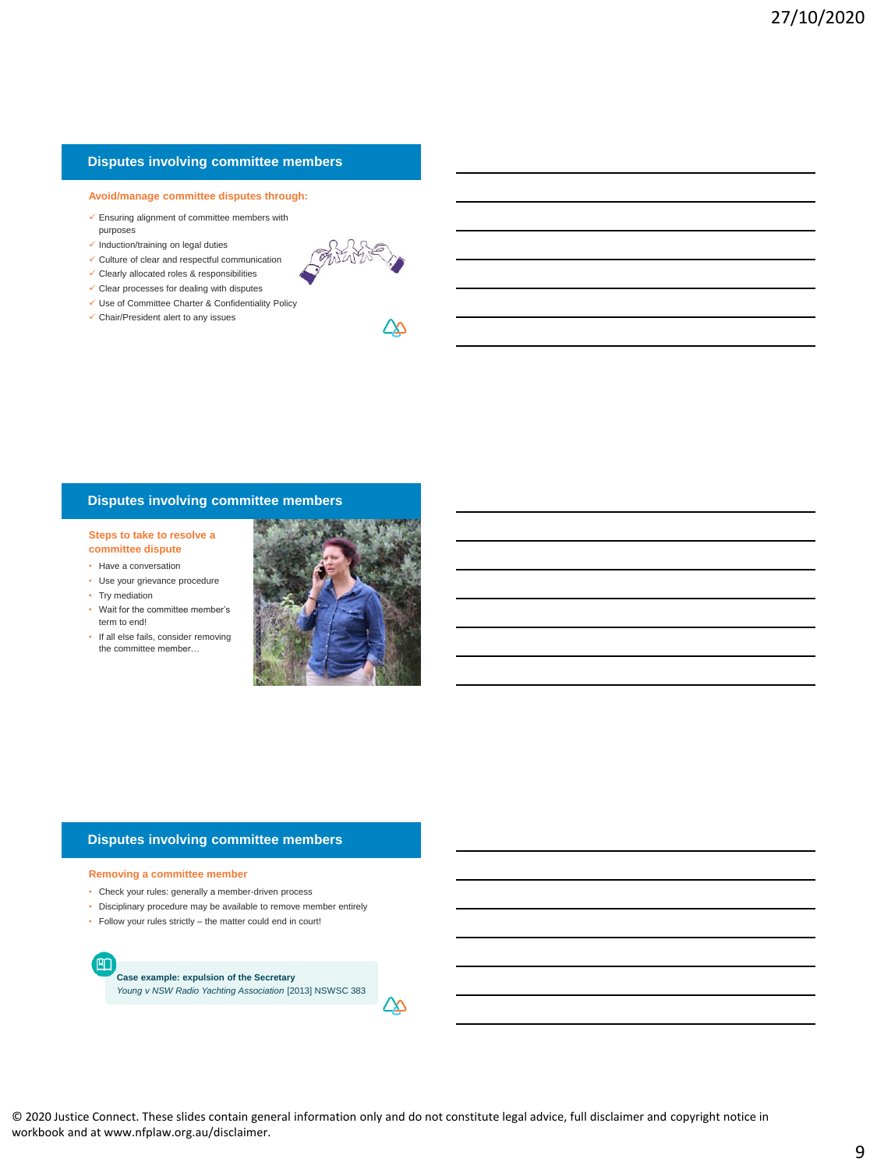## **Disputes involving committee members**

## **Avoid/manage committee disputes through:**

- $\checkmark$  Ensuring alignment of committee members with purposes
- $\checkmark$  Induction/training on legal duties
- $\checkmark$  Culture of clear and respectful communication
- $\checkmark$  Clearly allocated roles & responsibilities
- $\checkmark$  Clear processes for dealing with disputes
- Use of Committee Charter & Confidentiality Policy
- $\checkmark$  Chair/President alert to any issues



## **Disputes involving committee members**

**Steps to take to resolve a committee dispute**

- Have a conversation
- Use your grievance procedure
- Try mediation
- Wait for the committee member's term to end!
- If all else fails, consider removing the committee member…



## **Disputes involving committee members**

#### **Removing a committee member**

E

- Check your rules: generally a member-driven process
- Disciplinary procedure may be available to remove member entirely
- Follow your rules strictly the matter could end in court!

**Case example: expulsion of the Secretary** *Young v NSW Radio Yachting Association* [2013] NSWSC 383

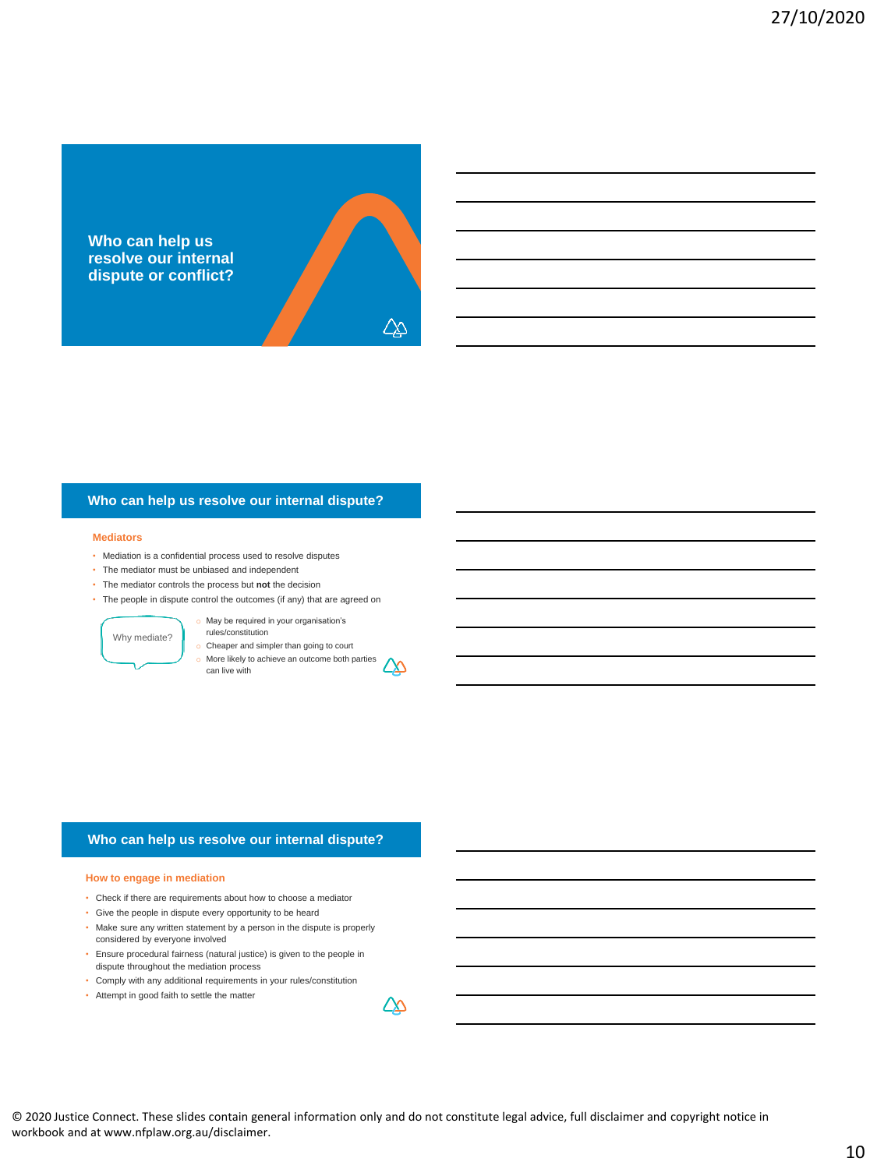

#### **Mediators**

- Mediation is a confidential process used to resolve disputes
- The mediator must be unbiased and independent
- The mediator controls the process but **not** the decision
- The people in dispute control the outcomes (if any) that are agreed on

Why mediate?

o May be required in your organisation's rules/constitution

o Cheaper and simpler than going to court

o More likely to achieve an outcome both parties ∠∆ can live with

## **Who can help us resolve our internal dispute?**

#### **How to engage in mediation**

- Check if there are requirements about how to choose a mediator
- Give the people in dispute every opportunity to be heard
- Make sure any written statement by a person in the dispute is properly considered by everyone involved
- Ensure procedural fairness (natural justice) is given to the people in dispute throughout the mediation process
- Comply with any additional requirements in your rules/constitution
- Attempt in good faith to settle the matter

© 2020 Justice Connect. These slides contain general information only and do not constitute legal advice, full disclaimer and copyright notice in workbook and at www.nfplaw.org.au/disclaimer.

ΔΔ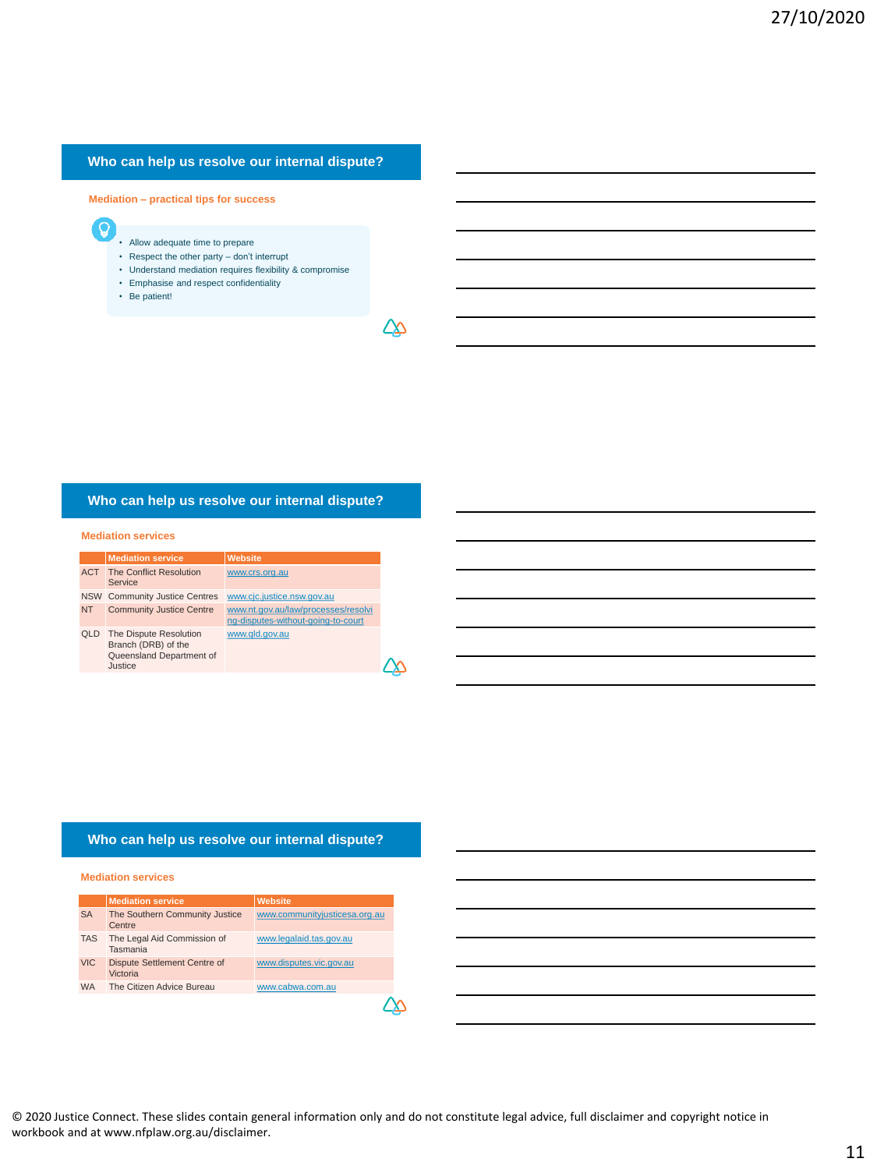**Mediation – practical tips for success**

- Q
- Allow adequate time to prepare
- Respect the other party don't interrupt
- Understand mediation requires flexibility & compromise • Emphasise and respect confidentiality
- Be patient!
- 

∠∆

## **Who can help us resolve our internal dispute?**

#### **Mediation services**

|            | <b>Mediation service</b>                                                             | <b>Website</b>                                                            |
|------------|--------------------------------------------------------------------------------------|---------------------------------------------------------------------------|
| <b>ACT</b> | <b>The Conflict Resolution</b><br>Service                                            | www.crs.org.au                                                            |
|            | NSW Community Justice Centres                                                        | www.cjc.justice.nsw.gov.au                                                |
| <b>NT</b>  | <b>Community Justice Centre</b>                                                      | www.nt.gov.au/law/processes/resolvi<br>ng-disputes-without-going-to-court |
| <b>QLD</b> | The Dispute Resolution<br>Branch (DRB) of the<br>Queensland Department of<br>Justice | www.gld.gov.au                                                            |

## **Who can help us resolve our internal dispute?**

#### **Mediation services**

|            | <b>Mediation service</b>                 | <b>Website</b>                |
|------------|------------------------------------------|-------------------------------|
| <b>SA</b>  | The Southern Community Justice<br>Centre | www.communityjusticesa.org.au |
| <b>TAS</b> | The Legal Aid Commission of<br>Tasmania  | www.legalaid.tas.gov.au       |
| <b>VIC</b> | Dispute Settlement Centre of<br>Victoria | www.disputes.vic.gov.au       |
| <b>WA</b>  | The Citizen Advice Bureau                | www.cabwa.com.au              |
|            |                                          |                               |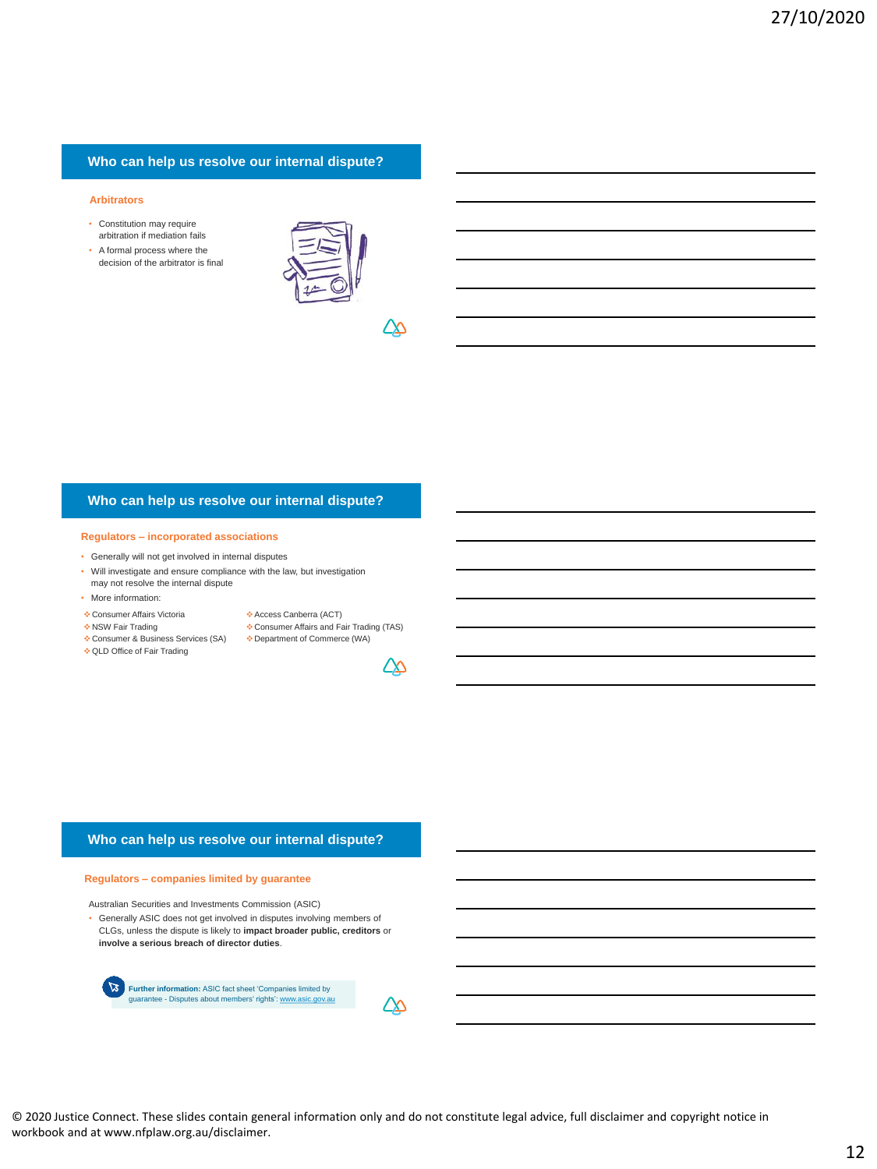#### **Arbitrators**

- Constitution may require arbitration if mediation fails
- A formal process where the decision of the arbitrator is final



∠∆

## **Who can help us resolve our internal dispute?**

#### **Regulators – incorporated associations**

- Generally will not get involved in internal disputes
- Will investigate and ensure compliance with the law, but investigation
- may not resolve the internal dispute
- More information:
- Consumer Affairs Victoria
- NSW Fair Trading
- Consumer & Business Services (SA) Department of Commerce (WA)
- Consumer Affairs and Fair Trading (TAS)

Access Canberra (ACT)

- QLD Office of Fair Trading
- 

<u>ZX</u>

## **Who can help us resolve our internal dispute?**

#### **Regulators – companies limited by guarantee**

Australian Securities and Investments Commission (ASIC)

• Generally ASIC does not get involved in disputes involving members of CLGs, unless the dispute is likely to **impact broader public, creditors** or **involve a serious breach of director duties**.



© 2020 Justice Connect. These slides contain general information only and do not constitute legal advice, full disclaimer and copyright notice in workbook and at www.nfplaw.org.au/disclaimer.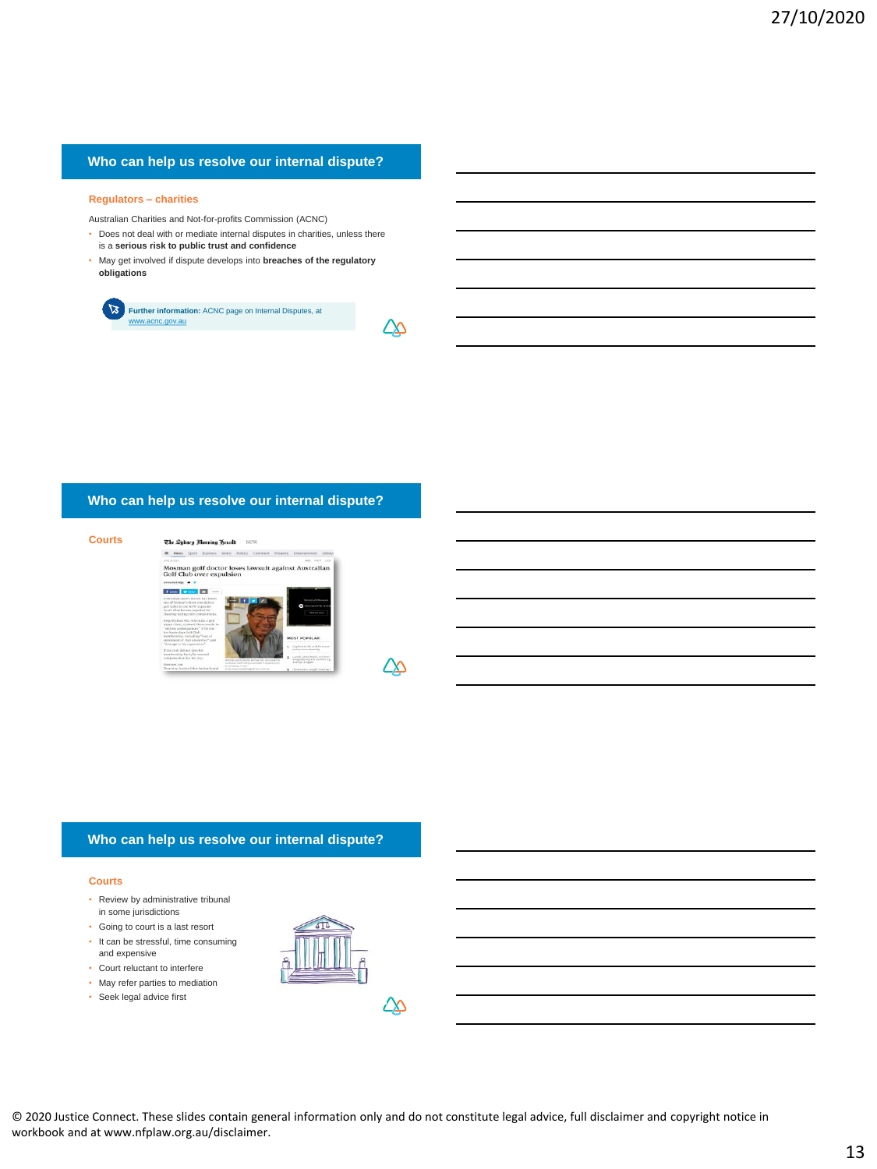#### **Regulators – charities**

Australian Charities and Not-for-profits Commission (ACNC)

- Does not deal with or mediate internal disputes in charities, unless there is a **serious risk to public trust and confidence**
- May get involved if dispute develops into **breaches of the regulatory obligations**

 $\mathbb{Z}$ **Further information:** ACNC page on Internal Disputes, at ww.acnc.gov.au

## **Who can help us resolve our internal dispute?**





 $\Delta\!\!\!\!\Delta$ 

∠∆

## **Who can help us resolve our internal dispute?**

#### **Courts**

- Review by administrative tribunal in some jurisdictions
- Going to court is a last resort
- It can be stressful, time consuming and expensive
- Court reluctant to interfere
- May refer parties to mediation
- Seek legal advice first

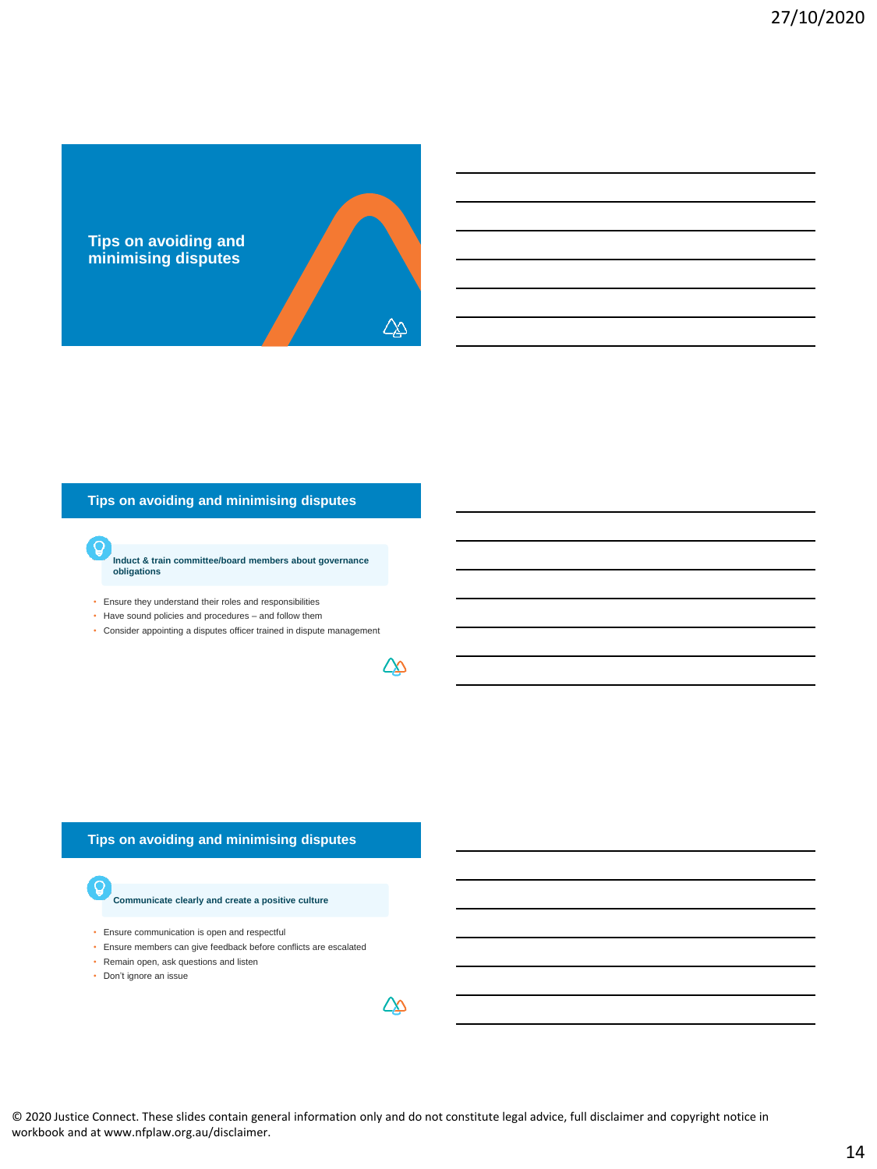

## **Tips on avoiding and minimising disputes**

**Induct & train committee/board members about governance obligations** 

• Ensure they understand their roles and responsibilities

G

- Have sound policies and procedures and follow them
- Consider appointing a disputes officer trained in dispute management

## **Tips on avoiding and minimising disputes**

#### **Communicate clearly and create a positive culture**

- Ensure communication is open and respectful
- Ensure members can give feedback before conflicts are escalated
- Remain open, ask questions and listen
- Don't ignore an issue

Q

© 2020 Justice Connect. These slides contain general information only and do not constitute legal advice, full disclaimer and copyright notice in workbook and at www.nfplaw.org.au/disclaimer.

<u> ДД</u>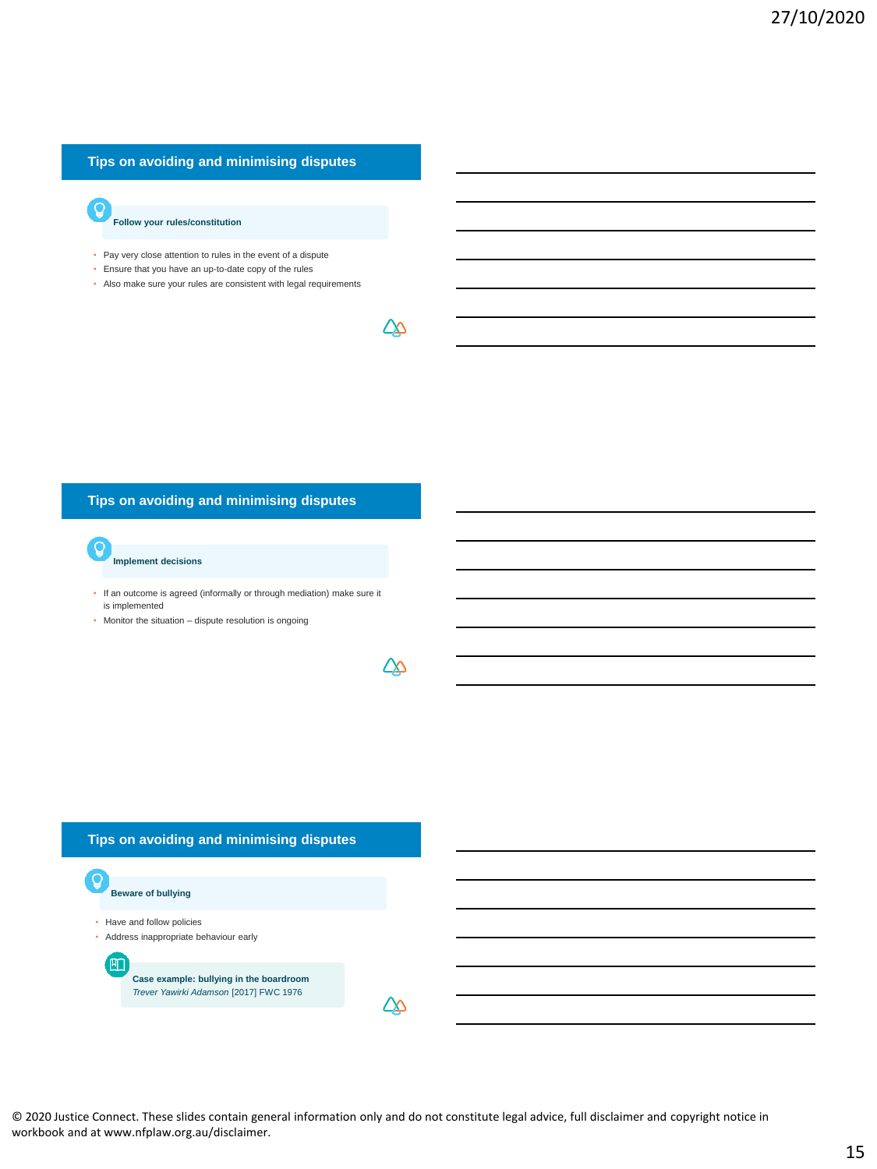## **Tips on avoiding and minimising disputes**

**Follow your rules/constitution**

- Pay very close attention to rules in the event of a dispute
- Ensure that you have an up-to-date copy of the rules
- Also make sure your rules are consistent with legal requirements

∠∆

∠∆

## **Tips on avoiding and minimising disputes**

**Implement decisions**

• If an outcome is agreed (informally or through mediation) make sure it is implemented

• Monitor the situation – dispute resolution is ongoing

**Tips on avoiding and minimising disputes**

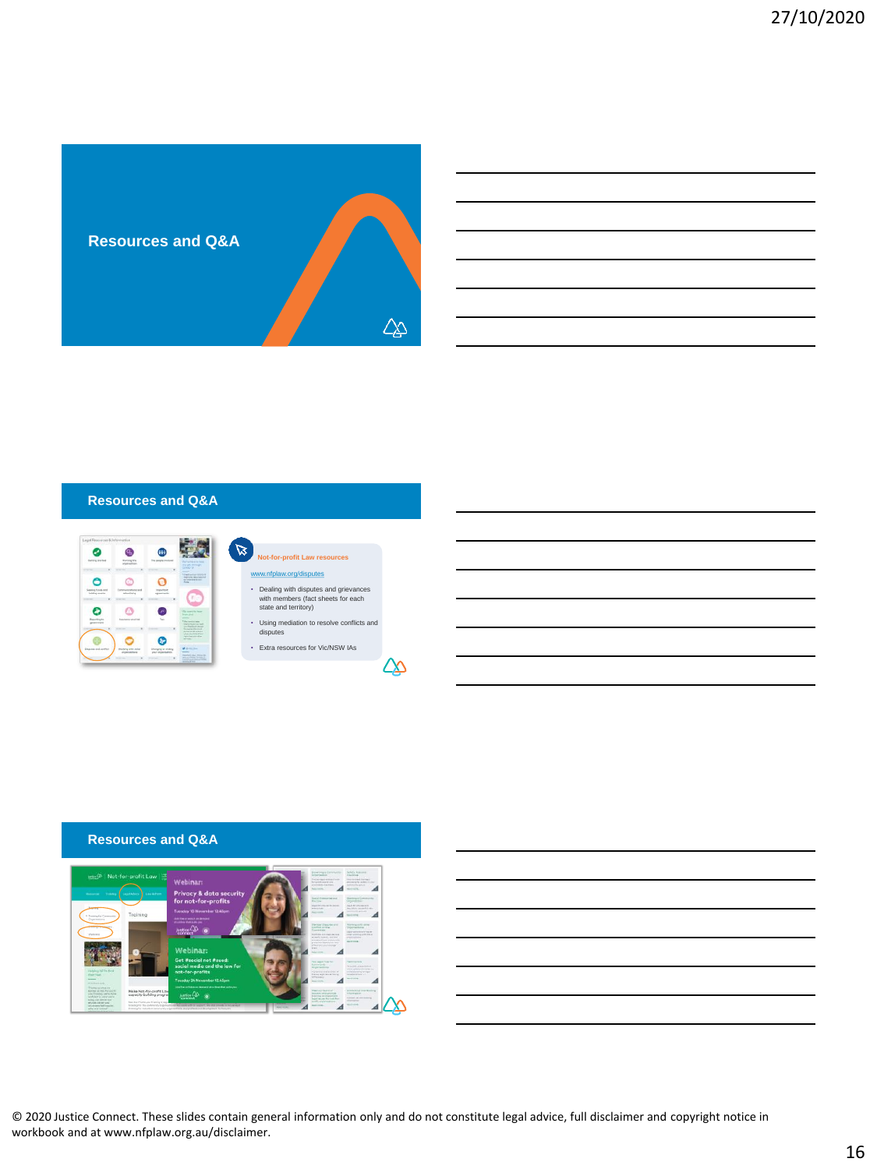

| <b>Resources and Q&amp;A</b> |  |
|------------------------------|--|
|                              |  |



#### $\mathbb Z$ **Nor-profit Law** w.org/disputes • Dealing with disputes and grievances

- with members (fact sheets for each state and territory)
- Using mediation to resolve conflicts and disputes
- Extra resources for Vic/NSW IAs

</del>

## **Resources and Q&A**